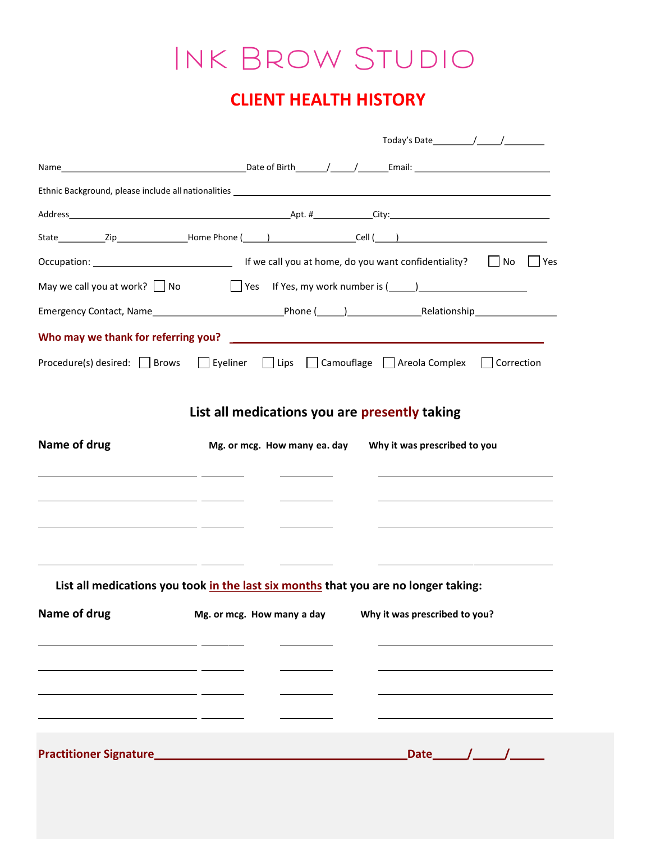## Ink Brow Studio

## CLIENT HEALTH HISTORY

|                                                                                                                      | Yes                                                                                                             |  |  |  |  |  |
|----------------------------------------------------------------------------------------------------------------------|-----------------------------------------------------------------------------------------------------------------|--|--|--|--|--|
| ■ Yes If Yes, my work number is (■ 1)<br>May we call you at work? $\Box$ No                                          |                                                                                                                 |  |  |  |  |  |
|                                                                                                                      |                                                                                                                 |  |  |  |  |  |
|                                                                                                                      |                                                                                                                 |  |  |  |  |  |
|                                                                                                                      | Procedure(s) desired: Services Services Services Services Services Services Services Services Services Services |  |  |  |  |  |
|                                                                                                                      | List all medications you are presently taking                                                                   |  |  |  |  |  |
| Name of drug                                                                                                         | Mg. or mcg. How many ea. day<br>Why it was prescribed to you                                                    |  |  |  |  |  |
| <u> 1989 - Andrea Barbara, poeta esperanto-poeta esperanto-poeta esperanto-poeta esperanto-poeta esperanto-poeta</u> |                                                                                                                 |  |  |  |  |  |
| <u> 1989 - Andrea Andrew Maria (b. 1989)</u>                                                                         |                                                                                                                 |  |  |  |  |  |
| <u> 1989 - Jan Sarah Barat, masjid a shekara ta 1989 - An an tsara tsara tsara tsara tsara tsara tsara tsara tsa</u> |                                                                                                                 |  |  |  |  |  |
|                                                                                                                      |                                                                                                                 |  |  |  |  |  |
|                                                                                                                      | List all medications you took in the last six months that you are no longer taking:                             |  |  |  |  |  |
| Name of drug                                                                                                         | Mg. or mcg. How many a day<br>Why it was prescribed to you?                                                     |  |  |  |  |  |
|                                                                                                                      |                                                                                                                 |  |  |  |  |  |
|                                                                                                                      |                                                                                                                 |  |  |  |  |  |
|                                                                                                                      |                                                                                                                 |  |  |  |  |  |
|                                                                                                                      |                                                                                                                 |  |  |  |  |  |
| <b>Practitioner Signature</b>                                                                                        |                                                                                                                 |  |  |  |  |  |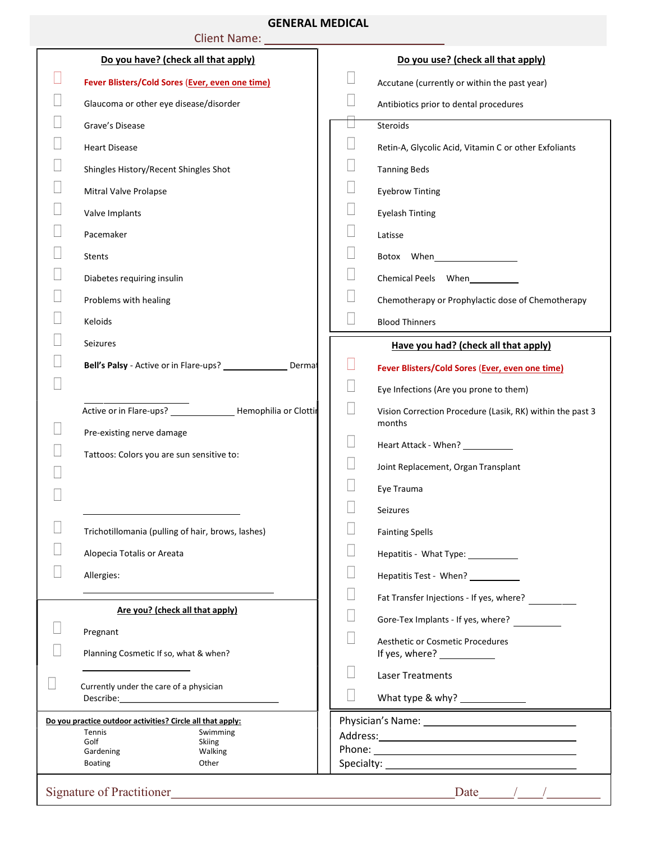## GENERAL MEDICAL

| <b>QLINLINAL IVILDICAL</b><br>Client Name: 1997 |                                                            |                                                                         |  |  |  |  |  |
|-------------------------------------------------|------------------------------------------------------------|-------------------------------------------------------------------------|--|--|--|--|--|
| Do you have? (check all that apply)             |                                                            | Do you use? (check all that apply)                                      |  |  |  |  |  |
|                                                 | Fever Blisters/Cold Sores (Ever, even one time)            | Accutane (currently or within the past year)                            |  |  |  |  |  |
|                                                 | Glaucoma or other eye disease/disorder                     | Antibiotics prior to dental procedures                                  |  |  |  |  |  |
|                                                 | Grave's Disease                                            | Steroids                                                                |  |  |  |  |  |
|                                                 | <b>Heart Disease</b>                                       | Retin-A, Glycolic Acid, Vitamin C or other Exfoliants                   |  |  |  |  |  |
|                                                 | Shingles History/Recent Shingles Shot                      | <b>Tanning Beds</b>                                                     |  |  |  |  |  |
|                                                 | Mitral Valve Prolapse                                      | <b>Eyebrow Tinting</b>                                                  |  |  |  |  |  |
|                                                 | Valve Implants                                             | <b>Eyelash Tinting</b>                                                  |  |  |  |  |  |
|                                                 | Pacemaker                                                  | Latisse                                                                 |  |  |  |  |  |
|                                                 | <b>Stents</b>                                              |                                                                         |  |  |  |  |  |
|                                                 | Diabetes requiring insulin                                 | Chemical Peels When                                                     |  |  |  |  |  |
|                                                 | Problems with healing                                      | Chemotherapy or Prophylactic dose of Chemotherapy                       |  |  |  |  |  |
|                                                 | Keloids                                                    | <b>Blood Thinners</b>                                                   |  |  |  |  |  |
|                                                 | Seizures                                                   | Have you had? (check all that apply)                                    |  |  |  |  |  |
|                                                 | Dermat                                                     | Fever Blisters/Cold Sores (Ever, even one time)                         |  |  |  |  |  |
|                                                 |                                                            | Eye Infections (Are you prone to them)                                  |  |  |  |  |  |
|                                                 |                                                            | Vision Correction Procedure (Lasik, RK) within the past 3               |  |  |  |  |  |
|                                                 | Pre-existing nerve damage                                  | months                                                                  |  |  |  |  |  |
|                                                 | Tattoos: Colors you are sun sensitive to:                  | Heart Attack - When? ____________                                       |  |  |  |  |  |
|                                                 |                                                            | Joint Replacement, Organ Transplant                                     |  |  |  |  |  |
|                                                 |                                                            | Eye Trauma                                                              |  |  |  |  |  |
|                                                 |                                                            | <b>Seizures</b>                                                         |  |  |  |  |  |
|                                                 | Trichotillomania (pulling of hair, brows, lashes)          | <b>Fainting Spells</b>                                                  |  |  |  |  |  |
|                                                 | Alopecia Totalis or Areata                                 | Hepatitis - What Type: ___________                                      |  |  |  |  |  |
|                                                 | Allergies:                                                 | Hepatitis Test - When?                                                  |  |  |  |  |  |
|                                                 | Are you? (check all that apply)                            | Fat Transfer Injections - If yes, where?                                |  |  |  |  |  |
|                                                 | Pregnant                                                   | Gore-Tex Implants - If yes, where?                                      |  |  |  |  |  |
|                                                 | Planning Cosmetic If so, what & when?                      | <b>Aesthetic or Cosmetic Procedures</b><br>If yes, where? _____________ |  |  |  |  |  |
|                                                 | Currently under the care of a physician                    | <b>Laser Treatments</b>                                                 |  |  |  |  |  |
|                                                 |                                                            | What type & why? $\frac{1}{2}$                                          |  |  |  |  |  |
|                                                 | Do you practice outdoor activities? Circle all that apply: |                                                                         |  |  |  |  |  |
| Tennis<br>Swimming<br>Golf<br><b>Skiing</b>     |                                                            |                                                                         |  |  |  |  |  |
| Gardening<br>Walking<br><b>Boating</b><br>Other |                                                            |                                                                         |  |  |  |  |  |
|                                                 |                                                            |                                                                         |  |  |  |  |  |
| Date $\frac{1}{\sqrt{2\pi}}$                    |                                                            |                                                                         |  |  |  |  |  |